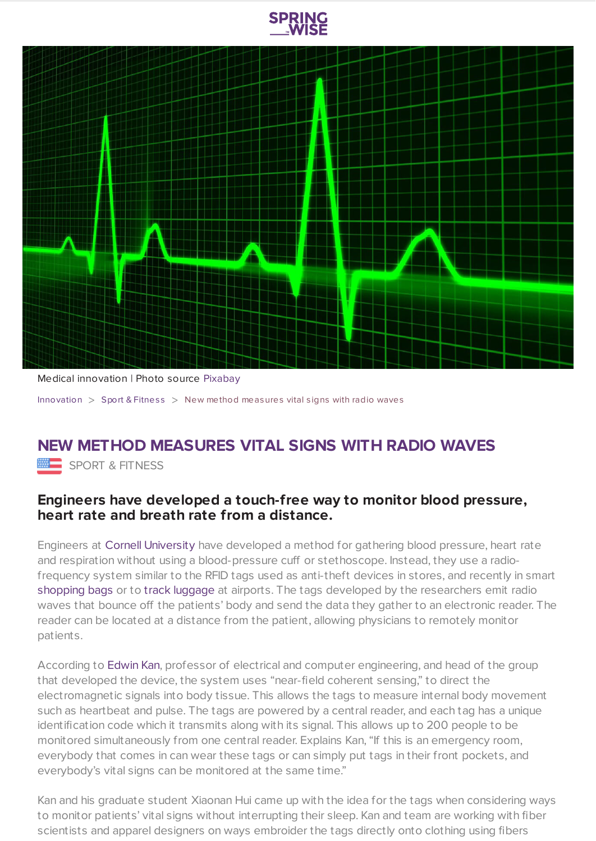



Medical innovation | Photo source [Pixabay](https://pixabay.com/en/pulse-trace-healthcare-medicine-163708/)

[Innovation](https://www.springwise.com/search?type=innovation)  $>$  Sport & [Fitnes](https://www.springwise.com/search?type=innovation§or=sport-fitness)s  $>$  New method measures vital signs with radio waves

## **NEW METHOD MEASURES VITAL SIGNS WITH RADIO WAVES**

SPORT & FITNESS

## **Engineers have developed a touch-free way to monitor blood pressure, heart rate and breath rate from a distance.**

Engineers at Cornell [University](https://www.cornell.edu/) have developed a method for gathering blood pressure, heart rate and respiration without using a blood-pressure cuff or stethoscope. Instead, they use a radiofrequency system similar to the RFID tags used as anti-theft devices in stores, and recently in smart [shopping](https://www.springwise.com/smart-shopping-bag-eliminate-queuing/) bags or to track [luggage](https://www.springwise.com/app-tracks-checked-airline-luggage-map/) at airports. The tags developed by the researchers emit radio waves that bounce off the patients' body and send the data they gather to an electronic reader. The reader can be located at a distance from the patient, allowing physicians to remotely monitor patients.

According to [Edwin](https://kan.ece.cornell.edu/people/edwin-kan/) Kan, professor of electrical and computer engineering, and head of the group that developed the device, the system uses "near-field coherent sensing," to direct the electromagnetic signals into body tissue. This allows the tags to measure internal body movement such as heartbeat and pulse. The tags are powered by a central reader, and each tag has a unique identification code which it transmits along with its signal. This allows up to 200 people to be monitored simultaneously from one central reader. Explains Kan, "If this is an emergency room, everybody that comes in can wear these tags or can simply put tags in their front pockets, and everybody's vital signs can be monitored at the same time."

Kan and his graduate student Xiaonan Hui came up with the idea for the tags when considering ways to monitor patients' vital signs without interrupting their sleep. Kan and team are working with fiber scientists and apparel designers on ways embroider the tags directly onto clothing using fibers